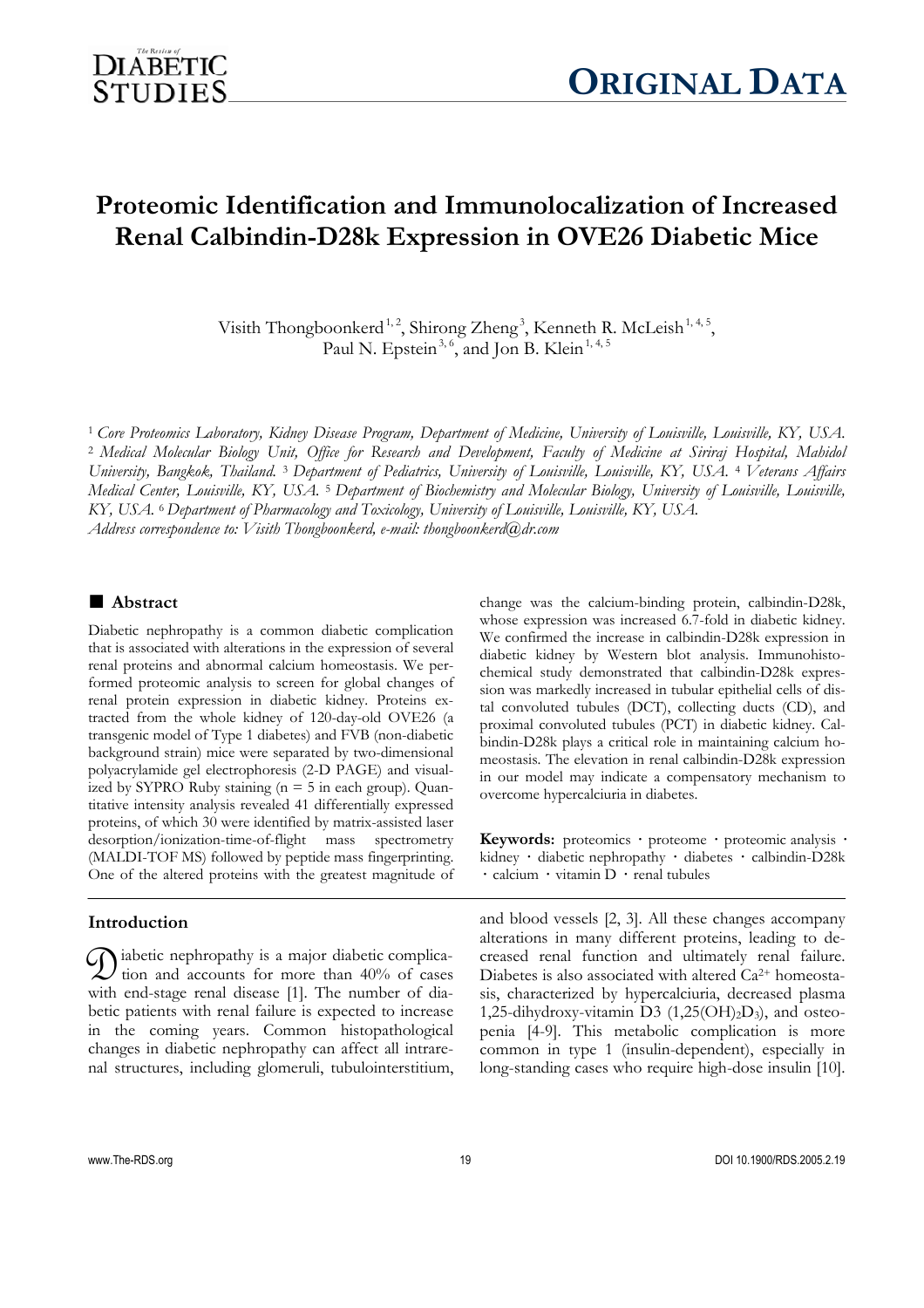# **Proteomic Identification and Immunolocalization of Increased Renal Calbindin-D28k Expression in OVE26 Diabetic Mice**

Visith Thongboonkerd<sup>1,2</sup>, Shirong Zheng<sup>3</sup>, Kenneth R. McLeish<sup>1,4,5</sup>, Paul N. Epstein<sup>3, 6</sup>, and Jon B. Klein<sup>1, 4, 5</sup>

<sup>1</sup> *Core Proteomics Laboratory, Kidney Disease Program, Department of Medicine, University of Louisville, Louisville, KY, USA.*  <sup>2</sup> *Medical Molecular Biology Unit, Office for Research and Development, Faculty of Medicine at Siriraj Hospital, Mahidol University, Bangkok, Thailand.* 3 *Department of Pediatrics, University of Louisville, Louisville, KY, USA.* 4 *Veterans Affairs Medical Center, Louisville, KY, USA.* 5 *Department of Biochemistry and Molecular Biology, University of Louisville, Louisville, KY, USA.* 6 *Department of Pharmacology and Toxicology, University of Louisville, Louisville, KY, USA. Address correspondence to: Visith Thongboonkerd, e-mail: thongboonkerd@dr.com* 

# **■ Abstract**

Diabetic nephropathy is a common diabetic complication that is associated with alterations in the expression of several renal proteins and abnormal calcium homeostasis. We performed proteomic analysis to screen for global changes of renal protein expression in diabetic kidney. Proteins extracted from the whole kidney of 120-day-old OVE26 (a transgenic model of Type 1 diabetes) and FVB (non-diabetic background strain) mice were separated by two-dimensional polyacrylamide gel electrophoresis (2-D PAGE) and visualized by SYPRO Ruby staining  $(n = 5$  in each group). Quantitative intensity analysis revealed 41 differentially expressed proteins, of which 30 were identified by matrix-assisted laser desorption/ionization-time-of-flight mass spectrometry (MALDI-TOF MS) followed by peptide mass fingerprinting. One of the altered proteins with the greatest magnitude of

# **Introduction**

 $\mathcal{D}$  iabetic nephropathy is a major diabetic complication and accounts for more than 40% of cases I tion and accounts for more than  $40\%$  of cases with end-stage renal disease [1]. The number of diabetic patients with renal failure is expected to increase in the coming years. Common histopathological changes in diabetic nephropathy can affect all intrarenal structures, including glomeruli, tubulointerstitium,

change was the calcium-binding protein, calbindin-D28k, whose expression was increased 6.7-fold in diabetic kidney. We confirmed the increase in calbindin-D28k expression in diabetic kidney by Western blot analysis. Immunohistochemical study demonstrated that calbindin-D28k expression was markedly increased in tubular epithelial cells of distal convoluted tubules (DCT), collecting ducts (CD), and proximal convoluted tubules (PCT) in diabetic kidney. Calbindin-D28k plays a critical role in maintaining calcium homeostasis. The elevation in renal calbindin-D28k expression in our model may indicate a compensatory mechanism to overcome hypercalciuria in diabetes.

**Keywords:** proteomics **·** proteome **·** proteomic analysis **·** kidney **·** diabetic nephropathy **·** diabetes **·** calbindin-D28k **·** calcium **·** vitamin D **·** renal tubules

and blood vessels [2, 3]. All these changes accompany alterations in many different proteins, leading to decreased renal function and ultimately renal failure. Diabetes is also associated with altered  $Ca^{2+}$  homeostasis, characterized by hypercalciuria, decreased plasma 1,25-dihydroxy-vitamin D3  $(1,25(OH)_2D_3)$ , and osteopenia [4-9]. This metabolic complication is more common in type 1 (insulin-dependent), especially in long-standing cases who require high-dose insulin [10].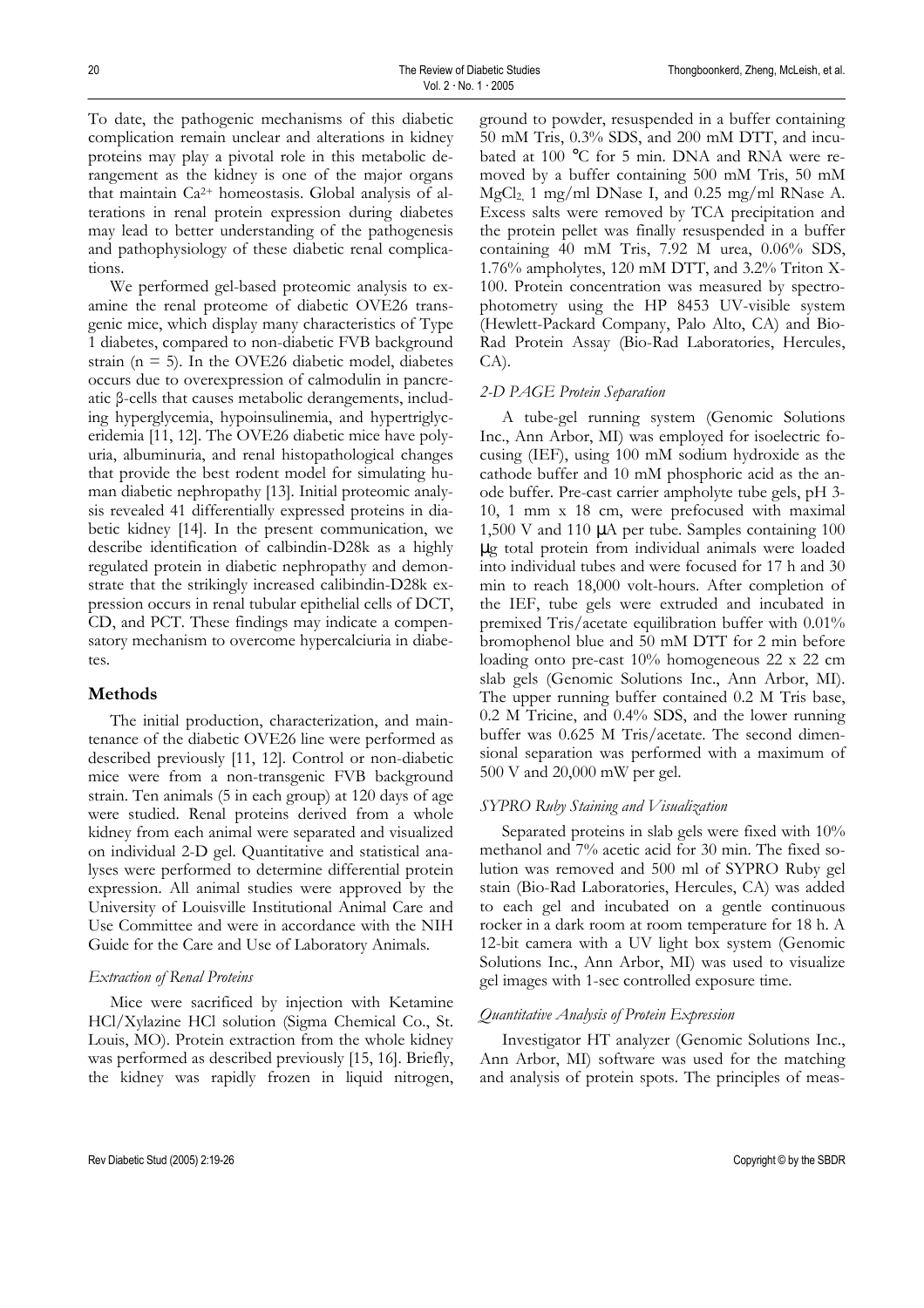To date, the pathogenic mechanisms of this diabetic complication remain unclear and alterations in kidney proteins may play a pivotal role in this metabolic derangement as the kidney is one of the major organs that maintain Ca2+ homeostasis. Global analysis of alterations in renal protein expression during diabetes may lead to better understanding of the pathogenesis and pathophysiology of these diabetic renal complications.

We performed gel-based proteomic analysis to examine the renal proteome of diabetic OVE26 transgenic mice, which display many characteristics of Type 1 diabetes, compared to non-diabetic FVB background strain ( $n = 5$ ). In the OVE26 diabetic model, diabetes occurs due to overexpression of calmodulin in pancreatic β-cells that causes metabolic derangements, including hyperglycemia, hypoinsulinemia, and hypertriglyceridemia [11, 12]. The OVE26 diabetic mice have polyuria, albuminuria, and renal histopathological changes that provide the best rodent model for simulating human diabetic nephropathy [13]. Initial proteomic analysis revealed 41 differentially expressed proteins in diabetic kidney [14]. In the present communication, we describe identification of calbindin-D28k as a highly regulated protein in diabetic nephropathy and demonstrate that the strikingly increased calibindin-D28k expression occurs in renal tubular epithelial cells of DCT, CD, and PCT. These findings may indicate a compensatory mechanism to overcome hypercalciuria in diabetes.

## **Methods**

The initial production, characterization, and maintenance of the diabetic OVE26 line were performed as described previously [11, 12]. Control or non-diabetic mice were from a non-transgenic FVB background strain. Ten animals (5 in each group) at 120 days of age were studied. Renal proteins derived from a whole kidney from each animal were separated and visualized on individual 2-D gel. Quantitative and statistical analyses were performed to determine differential protein expression. All animal studies were approved by the University of Louisville Institutional Animal Care and Use Committee and were in accordance with the NIH Guide for the Care and Use of Laboratory Animals.

#### *Extraction of Renal Proteins*

Mice were sacrificed by injection with Ketamine HCl/Xylazine HCl solution (Sigma Chemical Co., St. Louis, MO). Protein extraction from the whole kidney was performed as described previously [15, 16]. Briefly, the kidney was rapidly frozen in liquid nitrogen,

ground to powder, resuspended in a buffer containing 50 mM Tris, 0.3% SDS, and 200 mM DTT, and incubated at 100 °C for 5 min. DNA and RNA were removed by a buffer containing 500 mM Tris, 50 mM MgCl2, 1 mg/ml DNase I, and 0.25 mg/ml RNase A. Excess salts were removed by TCA precipitation and the protein pellet was finally resuspended in a buffer containing 40 mM Tris, 7.92 M urea, 0.06% SDS, 1.76% ampholytes, 120 mM DTT, and 3.2% Triton X-100. Protein concentration was measured by spectrophotometry using the HP 8453 UV-visible system (Hewlett-Packard Company, Palo Alto, CA) and Bio-Rad Protein Assay (Bio-Rad Laboratories, Hercules, CA).

#### *2-D PAGE Protein Separation*

A tube-gel running system (Genomic Solutions Inc., Ann Arbor, MI) was employed for isoelectric focusing (IEF), using 100 mM sodium hydroxide as the cathode buffer and 10 mM phosphoric acid as the anode buffer. Pre-cast carrier ampholyte tube gels, pH 3- 10, 1 mm x 18 cm, were prefocused with maximal 1,500 V and 110 µA per tube. Samples containing 100 µg total protein from individual animals were loaded into individual tubes and were focused for 17 h and 30 min to reach 18,000 volt-hours. After completion of the IEF, tube gels were extruded and incubated in premixed Tris/acetate equilibration buffer with 0.01% bromophenol blue and 50 mM DTT for 2 min before loading onto pre-cast 10% homogeneous 22 x 22 cm slab gels (Genomic Solutions Inc., Ann Arbor, MI). The upper running buffer contained 0.2 M Tris base, 0.2 M Tricine, and 0.4% SDS, and the lower running buffer was 0.625 M Tris/acetate. The second dimensional separation was performed with a maximum of 500 V and 20,000 mW per gel.

## *SYPRO Ruby Staining and Visualization*

Separated proteins in slab gels were fixed with 10% methanol and 7% acetic acid for 30 min. The fixed solution was removed and 500 ml of SYPRO Ruby gel stain (Bio-Rad Laboratories, Hercules, CA) was added to each gel and incubated on a gentle continuous rocker in a dark room at room temperature for 18 h. A 12-bit camera with a UV light box system (Genomic Solutions Inc., Ann Arbor, MI) was used to visualize gel images with 1-sec controlled exposure time.

#### *Quantitative Analysis of Protein Expression*

Investigator HT analyzer (Genomic Solutions Inc., Ann Arbor, MI) software was used for the matching and analysis of protein spots. The principles of meas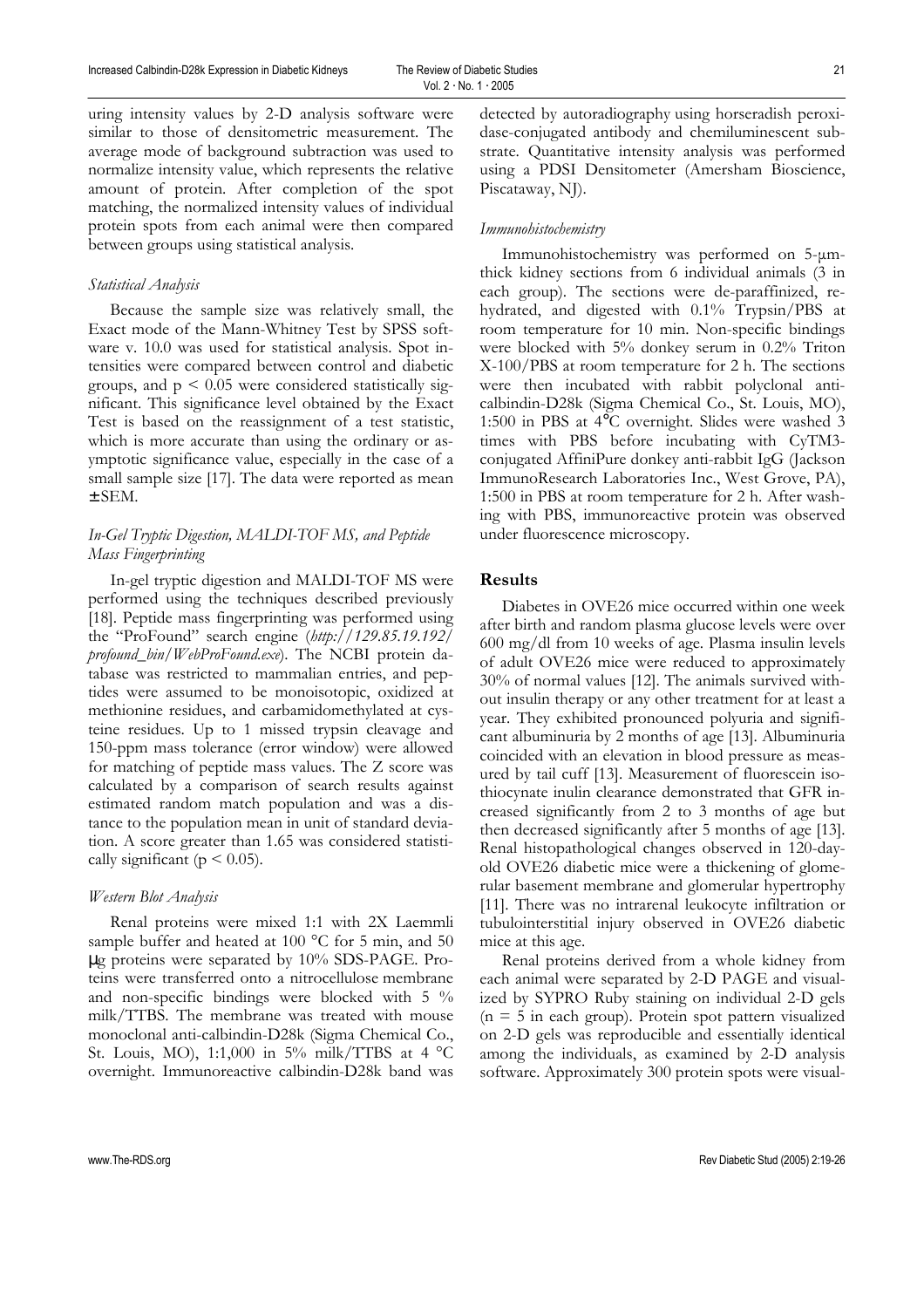uring intensity values by 2-D analysis software were similar to those of densitometric measurement. The average mode of background subtraction was used to normalize intensity value, which represents the relative amount of protein. After completion of the spot matching, the normalized intensity values of individual protein spots from each animal were then compared between groups using statistical analysis.

## *Statistical Analysis*

Because the sample size was relatively small, the Exact mode of the Mann-Whitney Test by SPSS software v. 10.0 was used for statistical analysis. Spot intensities were compared between control and diabetic groups, and  $p \leq 0.05$  were considered statistically significant. This significance level obtained by the Exact Test is based on the reassignment of a test statistic, which is more accurate than using the ordinary or asymptotic significance value, especially in the case of a small sample size [17]. The data were reported as mean ± SEM.

# *In-Gel Tryptic Digestion, MALDI-TOF MS, and Peptide Mass Fingerprinting*

In-gel tryptic digestion and MALDI-TOF MS were performed using the techniques described previously [18]. Peptide mass fingerprinting was performed using the "ProFound" search engine (*http://129.85.19.192/ profound\_bin/WebProFound.exe*). The NCBI protein database was restricted to mammalian entries, and peptides were assumed to be monoisotopic, oxidized at methionine residues, and carbamidomethylated at cysteine residues. Up to 1 missed trypsin cleavage and 150-ppm mass tolerance (error window) were allowed for matching of peptide mass values. The Z score was calculated by a comparison of search results against estimated random match population and was a distance to the population mean in unit of standard deviation. A score greater than 1.65 was considered statistically significant ( $p \leq 0.05$ ).

#### *Western Blot Analysis*

Renal proteins were mixed 1:1 with 2X Laemmli sample buffer and heated at 100 °C for 5 min, and 50 µg proteins were separated by 10% SDS-PAGE. Proteins were transferred onto a nitrocellulose membrane and non-specific bindings were blocked with 5 % milk/TTBS. The membrane was treated with mouse monoclonal anti-calbindin-D28k (Sigma Chemical Co., St. Louis, MO), 1:1,000 in 5% milk/TTBS at 4 °C overnight. Immunoreactive calbindin-D28k band was detected by autoradiography using horseradish peroxidase-conjugated antibody and chemiluminescent substrate. Quantitative intensity analysis was performed using a PDSI Densitometer (Amersham Bioscience, Piscataway, NJ).

## *Immunohistochemistry*

Immunohistochemistry was performed on 5-µmthick kidney sections from 6 individual animals (3 in each group). The sections were de-paraffinized, rehydrated, and digested with 0.1% Trypsin/PBS at room temperature for 10 min. Non-specific bindings were blocked with 5% donkey serum in 0.2% Triton X-100/PBS at room temperature for 2 h. The sections were then incubated with rabbit polyclonal anticalbindin-D28k (Sigma Chemical Co., St. Louis, MO), 1:500 in PBS at 4°C overnight. Slides were washed 3 times with PBS before incubating with CyTM3 conjugated AffiniPure donkey anti-rabbit IgG (Jackson ImmunoResearch Laboratories Inc., West Grove, PA), 1:500 in PBS at room temperature for 2 h. After washing with PBS, immunoreactive protein was observed under fluorescence microscopy.

#### **Results**

Diabetes in OVE26 mice occurred within one week after birth and random plasma glucose levels were over 600 mg/dl from 10 weeks of age. Plasma insulin levels of adult OVE26 mice were reduced to approximately 30% of normal values [12]. The animals survived without insulin therapy or any other treatment for at least a year. They exhibited pronounced polyuria and significant albuminuria by 2 months of age [13]. Albuminuria coincided with an elevation in blood pressure as measured by tail cuff [13]. Measurement of fluorescein isothiocynate inulin clearance demonstrated that GFR increased significantly from 2 to 3 months of age but then decreased significantly after 5 months of age [13]. Renal histopathological changes observed in 120-dayold OVE26 diabetic mice were a thickening of glomerular basement membrane and glomerular hypertrophy [11]. There was no intrarenal leukocyte infiltration or tubulointerstitial injury observed in OVE26 diabetic mice at this age.

Renal proteins derived from a whole kidney from each animal were separated by 2-D PAGE and visualized by SYPRO Ruby staining on individual 2-D gels  $(n = 5$  in each group). Protein spot pattern visualized on 2-D gels was reproducible and essentially identical among the individuals, as examined by 2-D analysis software. Approximately 300 protein spots were visual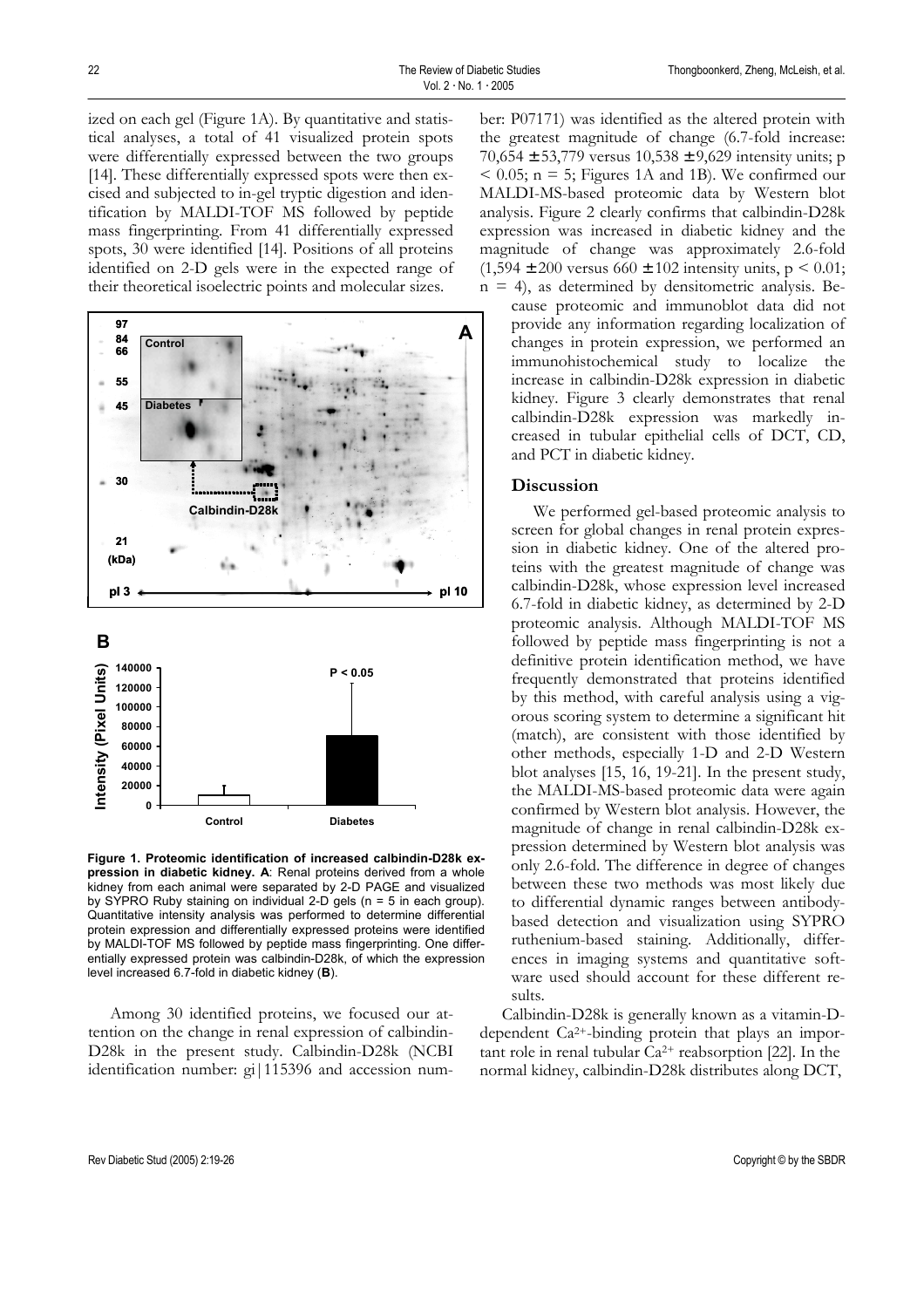ized on each gel (Figure 1A). By quantitative and statistical analyses, a total of 41 visualized protein spots were differentially expressed between the two groups [14]. These differentially expressed spots were then excised and subjected to in-gel tryptic digestion and identification by MALDI-TOF MS followed by peptide mass fingerprinting. From 41 differentially expressed spots, 30 were identified [14]. Positions of all proteins identified on 2-D gels were in the expected range of their theoretical isoelectric points and molecular sizes.



**Figure 1. Proteomic identification of increased calbindin-D28k expression in diabetic kidney. A**: Renal proteins derived from a whole kidney from each animal were separated by 2-D PAGE and visualized by SYPRO Ruby staining on individual 2-D gels (n = 5 in each group). Quantitative intensity analysis was performed to determine differential protein expression and differentially expressed proteins were identified by MALDI-TOF MS followed by peptide mass fingerprinting. One differentially expressed protein was calbindin-D28k, of which the expression level increased 6.7-fold in diabetic kidney (**B**).

Among 30 identified proteins, we focused our attention on the change in renal expression of calbindin-D28k in the present study. Calbindin-D28k (NCBI identification number: gi|115396 and accession number: P07171) was identified as the altered protein with the greatest magnitude of change (6.7-fold increase: 70,654 ± 53,779 versus 10,538 ± 9,629 intensity units; p  $< 0.05$ ; n = 5; Figures 1A and 1B). We confirmed our MALDI-MS-based proteomic data by Western blot analysis. Figure 2 clearly confirms that calbindin-D28k expression was increased in diabetic kidney and the magnitude of change was approximately 2.6-fold  $(1,594 \pm 200 \text{ versus } 660 \pm 102 \text{ intensity units}, p \leq 0.01;$ 

 $n = 4$ ), as determined by densitometric analysis. Because proteomic and immunoblot data did not provide any information regarding localization of changes in protein expression, we performed an immunohistochemical study to localize the increase in calbindin-D28k expression in diabetic kidney. Figure 3 clearly demonstrates that renal calbindin-D28k expression was markedly increased in tubular epithelial cells of DCT, CD, and PCT in diabetic kidney.

## **Discussion**

We performed gel-based proteomic analysis to screen for global changes in renal protein expression in diabetic kidney. One of the altered proteins with the greatest magnitude of change was calbindin-D28k, whose expression level increased 6.7-fold in diabetic kidney, as determined by 2-D proteomic analysis. Although MALDI-TOF MS followed by peptide mass fingerprinting is not a definitive protein identification method, we have frequently demonstrated that proteins identified by this method, with careful analysis using a vigorous scoring system to determine a significant hit (match), are consistent with those identified by other methods, especially 1-D and 2-D Western blot analyses [15, 16, 19-21]. In the present study, the MALDI-MS-based proteomic data were again confirmed by Western blot analysis. However, the magnitude of change in renal calbindin-D28k expression determined by Western blot analysis was only 2.6-fold. The difference in degree of changes between these two methods was most likely due to differential dynamic ranges between antibodybased detection and visualization using SYPRO ruthenium-based staining. Additionally, differences in imaging systems and quantitative software used should account for these different results.

Calbindin-D28k is generally known as a vitamin-Ddependent Ca2+-binding protein that plays an important role in renal tubular  $Ca^{2+}$  reabsorption [22]. In the normal kidney, calbindin-D28k distributes along DCT,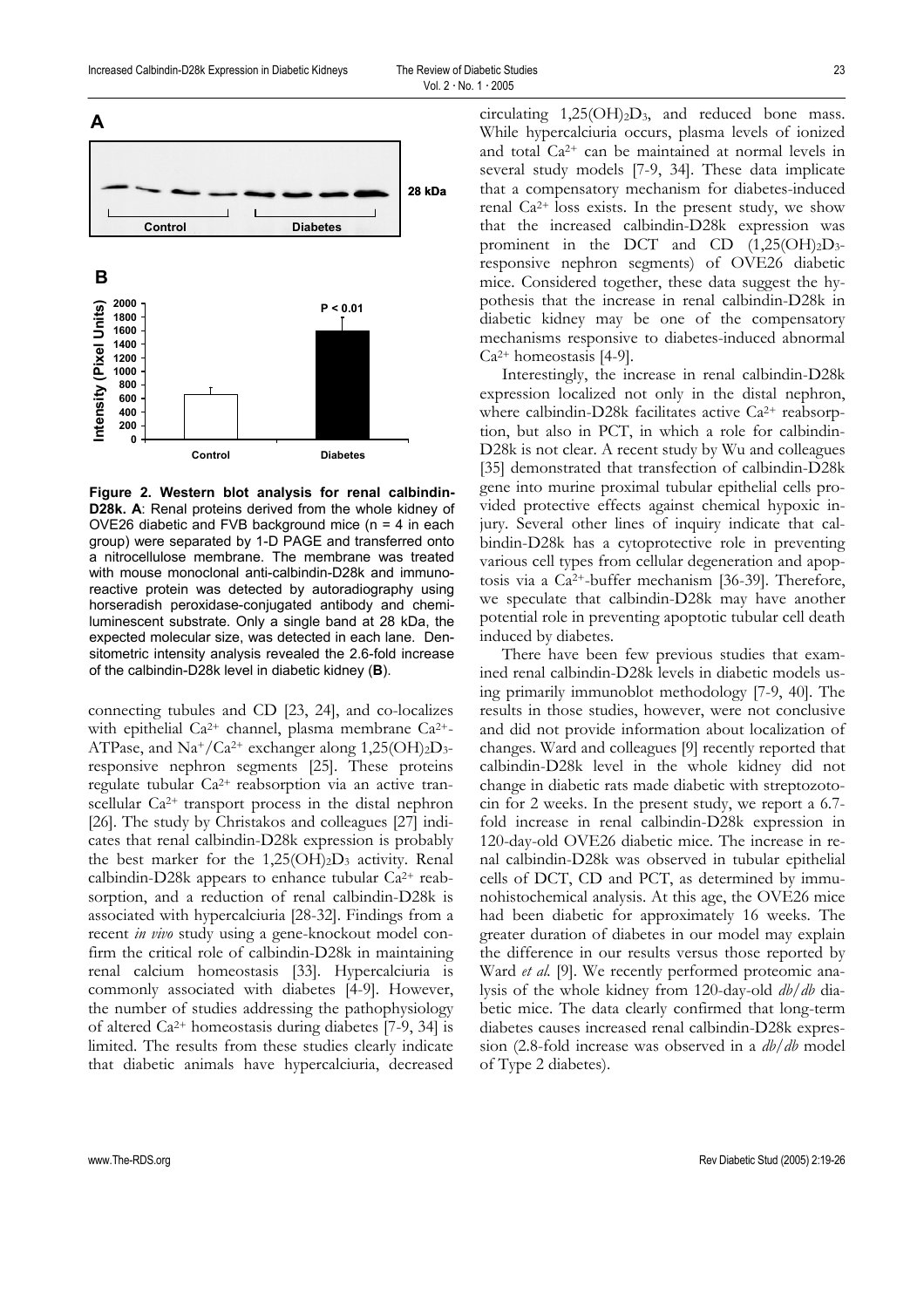

**Figure 2. Western blot analysis for renal calbindin-D28k. A**: Renal proteins derived from the whole kidney of OVE26 diabetic and FVB background mice  $(n = 4$  in each group) were separated by 1-D PAGE and transferred onto a nitrocellulose membrane. The membrane was treated with mouse monoclonal anti-calbindin-D28k and immunoreactive protein was detected by autoradiography using horseradish peroxidase-conjugated antibody and chemiluminescent substrate. Only a single band at 28 kDa, the expected molecular size, was detected in each lane. Densitometric intensity analysis revealed the 2.6-fold increase of the calbindin-D28k level in diabetic kidney (**B**).

connecting tubules and CD [23, 24], and co-localizes with epithelial Ca<sup>2+</sup> channel, plasma membrane Ca<sup>2+</sup>-ATPase, and Na+/Ca<sup>2+</sup> exchanger along  $1,25(OH)_{2}D_{3}$ responsive nephron segments [25]. These proteins regulate tubular Ca2+ reabsorption via an active transcellular Ca<sup>2+</sup> transport process in the distal nephron [26]. The study by Christakos and colleagues [27] indicates that renal calbindin-D28k expression is probably the best marker for the  $1,25(OH)_2D_3$  activity. Renal calbindin-D28k appears to enhance tubular  $Ca^{2+}$  reabsorption, and a reduction of renal calbindin-D28k is associated with hypercalciuria [28-32]. Findings from a recent *in vivo* study using a gene-knockout model confirm the critical role of calbindin-D28k in maintaining renal calcium homeostasis [33]. Hypercalciuria is commonly associated with diabetes [4-9]. However, the number of studies addressing the pathophysiology of altered Ca2+ homeostasis during diabetes [7-9, 34] is limited. The results from these studies clearly indicate that diabetic animals have hypercalciuria, decreased

circulating  $1,25(OH)_2D_3$ , and reduced bone mass. While hypercalciuria occurs, plasma levels of ionized and total Ca2+ can be maintained at normal levels in several study models [7-9, 34]. These data implicate that a compensatory mechanism for diabetes-induced renal  $Ca^{2+}$  loss exists. In the present study, we show that the increased calbindin-D28k expression was prominent in the DCT and CD  $(1,25(OH)_{2}D_{3}$ responsive nephron segments) of OVE26 diabetic mice. Considered together, these data suggest the hypothesis that the increase in renal calbindin-D28k in diabetic kidney may be one of the compensatory mechanisms responsive to diabetes-induced abnormal  $Ca<sup>2+</sup> homeostasis$  [4-9].

Interestingly, the increase in renal calbindin-D28k expression localized not only in the distal nephron, where calbindin-D28k facilitates active  $Ca^{2+}$  reabsorption, but also in PCT, in which a role for calbindin-D28k is not clear. A recent study by Wu and colleagues [35] demonstrated that transfection of calbindin-D28k gene into murine proximal tubular epithelial cells provided protective effects against chemical hypoxic injury. Several other lines of inquiry indicate that calbindin-D28k has a cytoprotective role in preventing various cell types from cellular degeneration and apoptosis via a Ca2+-buffer mechanism [36-39]. Therefore, we speculate that calbindin-D28k may have another potential role in preventing apoptotic tubular cell death induced by diabetes.

There have been few previous studies that examined renal calbindin-D28k levels in diabetic models using primarily immunoblot methodology [7-9, 40]. The results in those studies, however, were not conclusive and did not provide information about localization of changes. Ward and colleagues [9] recently reported that calbindin-D28k level in the whole kidney did not change in diabetic rats made diabetic with streptozotocin for 2 weeks. In the present study, we report a 6.7 fold increase in renal calbindin-D28k expression in 120-day-old OVE26 diabetic mice. The increase in renal calbindin-D28k was observed in tubular epithelial cells of DCT, CD and PCT, as determined by immunohistochemical analysis. At this age, the OVE26 mice had been diabetic for approximately 16 weeks. The greater duration of diabetes in our model may explain the difference in our results versus those reported by Ward *et al.* [9]. We recently performed proteomic analysis of the whole kidney from 120-day-old *db/db* diabetic mice. The data clearly confirmed that long-term diabetes causes increased renal calbindin-D28k expression (2.8-fold increase was observed in a *db/db* model of Type 2 diabetes).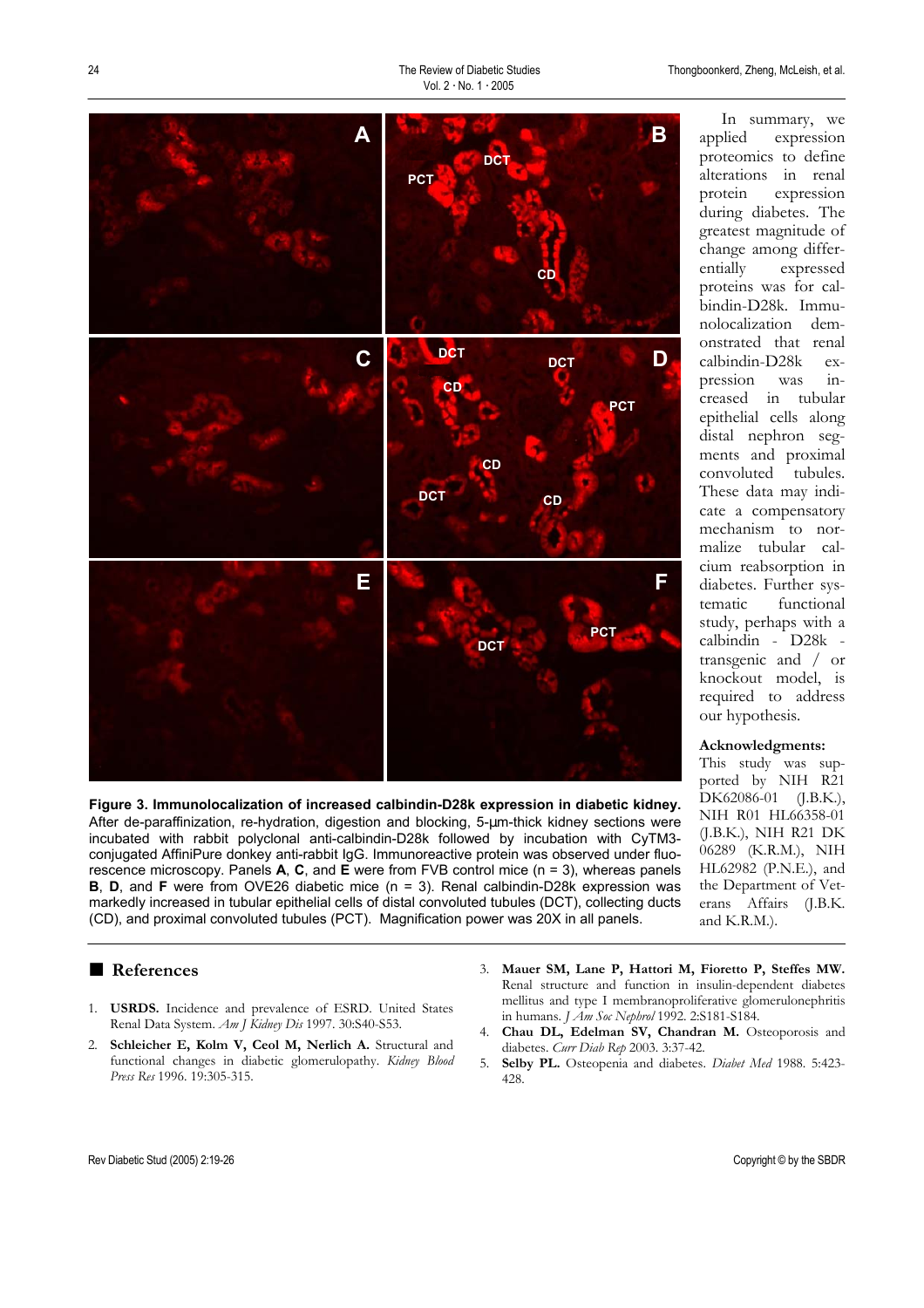In summary, we



**Figure 3. Immunolocalization of increased calbindin-D28k expression in diabetic kidney.**  After de-paraffinization, re-hydration, digestion and blocking, 5-µm-thick kidney sections were incubated with rabbit polyclonal anti-calbindin-D28k followed by incubation with CyTM3 conjugated AffiniPure donkey anti-rabbit IgG. Immunoreactive protein was observed under fluorescence microscopy. Panels **A**, **C**, and **E** were from FVB control mice (n = 3), whereas panels **B**, **D**, and **F** were from OVE26 diabetic mice (n = 3). Renal calbindin-D28k expression was markedly increased in tubular epithelial cells of distal convoluted tubules (DCT), collecting ducts (CD), and proximal convoluted tubules (PCT). Magnification power was 20X in all panels.

# ■ **References**

- 1. **USRDS.** Incidence and prevalence of ESRD. United States Renal Data System. *Am J Kidney Dis* 1997. 30:S40-S53.
- 2. **Schleicher E, Kolm V, Ceol M, Nerlich A.** Structural and functional changes in diabetic glomerulopathy. *Kidney Blood Press Res* 1996. 19:305-315.
- 3. **Mauer SM, Lane P, Hattori M, Fioretto P, Steffes MW.** Renal structure and function in insulin-dependent diabetes mellitus and type I membranoproliferative glomerulonephritis in humans. *J Am Soc Nephrol* 1992. 2:S181-S184.
- 4. **Chau DL, Edelman SV, Chandran M.** Osteoporosis and diabetes. *Curr Diab Rep* 2003. 3:37-42.
- 5. **Selby PL.** Osteopenia and diabetes. *Diabet Med* 1988. 5:423- 428.

NIH R01 HL66358-01 (J.B.K.), NIH R21 DK 06289 (K.R.M.), NIH HL62982 (P.N.E.), and the Department of Veterans Affairs (J.B.K.

and K.R.M.).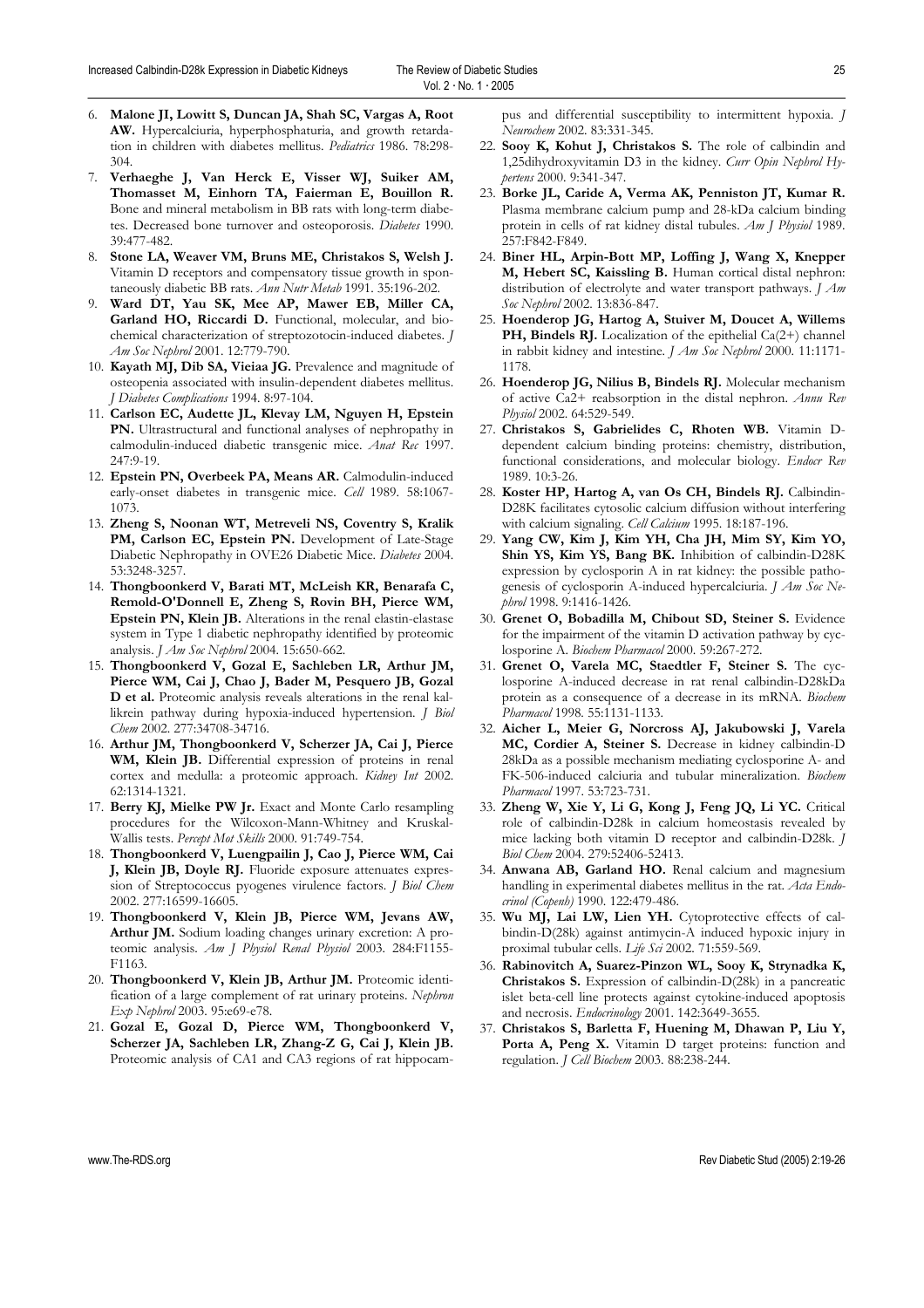- 6. **Malone JI, Lowitt S, Duncan JA, Shah SC, Vargas A, Root AW.** Hypercalciuria, hyperphosphaturia, and growth retardation in children with diabetes mellitus. *Pediatrics* 1986. 78:298- 304.
- 7. **Verhaeghe J, Van Herck E, Visser WJ, Suiker AM, Thomasset M, Einhorn TA, Faierman E, Bouillon R.** Bone and mineral metabolism in BB rats with long-term diabetes. Decreased bone turnover and osteoporosis. *Diabetes* 1990. 39:477-482.
- 8. **Stone LA, Weaver VM, Bruns ME, Christakos S, Welsh J.** Vitamin D receptors and compensatory tissue growth in spontaneously diabetic BB rats. *Ann Nutr Metab* 1991. 35:196-202.
- 9. **Ward DT, Yau SK, Mee AP, Mawer EB, Miller CA, Garland HO, Riccardi D.** Functional, molecular, and biochemical characterization of streptozotocin-induced diabetes. *J Am Soc Nephrol* 2001. 12:779-790.
- 10. **Kayath MJ, Dib SA, Vieiaa JG.** Prevalence and magnitude of osteopenia associated with insulin-dependent diabetes mellitus. *J Diabetes Complications* 1994. 8:97-104.
- 11. **Carlson EC, Audette JL, Klevay LM, Nguyen H, Epstein PN.** Ultrastructural and functional analyses of nephropathy in calmodulin-induced diabetic transgenic mice. *Anat Rec* 1997. 247:9-19.
- 12. **Epstein PN, Overbeek PA, Means AR.** Calmodulin-induced early-onset diabetes in transgenic mice. *Cell* 1989. 58:1067- 1073.
- 13. **Zheng S, Noonan WT, Metreveli NS, Coventry S, Kralik**  PM, Carlson EC, Epstein PN. Development of Late-Stage Diabetic Nephropathy in OVE26 Diabetic Mice. *Diabetes* 2004. 53:3248-3257.
- 14. **Thongboonkerd V, Barati MT, McLeish KR, Benarafa C, Remold-O'Donnell E, Zheng S, Rovin BH, Pierce WM, Epstein PN, Klein JB.** Alterations in the renal elastin-elastase system in Type 1 diabetic nephropathy identified by proteomic analysis. *J Am Soc Nephrol* 2004. 15:650-662.
- 15. **Thongboonkerd V, Gozal E, Sachleben LR, Arthur JM, Pierce WM, Cai J, Chao J, Bader M, Pesquero JB, Gozal D et al.** Proteomic analysis reveals alterations in the renal kallikrein pathway during hypoxia-induced hypertension. *J Biol Chem* 2002. 277:34708-34716.
- 16. **Arthur JM, Thongboonkerd V, Scherzer JA, Cai J, Pierce WM, Klein JB.** Differential expression of proteins in renal cortex and medulla: a proteomic approach. *Kidney Int* 2002. 62:1314-1321.
- 17. **Berry KJ, Mielke PW Jr.** Exact and Monte Carlo resampling procedures for the Wilcoxon-Mann-Whitney and Kruskal-Wallis tests. *Percept Mot Skills* 2000. 91:749-754.
- 18. **Thongboonkerd V, Luengpailin J, Cao J, Pierce WM, Cai J, Klein JB, Doyle RJ.** Fluoride exposure attenuates expression of Streptococcus pyogenes virulence factors. *J Biol Chem* 2002. 277:16599-16605.
- 19. **Thongboonkerd V, Klein JB, Pierce WM, Jevans AW, Arthur JM.** Sodium loading changes urinary excretion: A proteomic analysis. *Am J Physiol Renal Physiol* 2003. 284:F1155- F1163.
- 20. **Thongboonkerd V, Klein JB, Arthur JM.** Proteomic identification of a large complement of rat urinary proteins. *Nephron Exp Nephrol* 2003. 95:e69-e78.
- 21. **Gozal E, Gozal D, Pierce WM, Thongboonkerd V, Scherzer JA, Sachleben LR, Zhang-Z G, Cai J, Klein JB.** Proteomic analysis of CA1 and CA3 regions of rat hippocam-

pus and differential susceptibility to intermittent hypoxia. *J Neurochem* 2002. 83:331-345.

- 22. **Sooy K, Kohut J, Christakos S.** The role of calbindin and 1,25dihydroxyvitamin D3 in the kidney. *Curr Opin Nephrol Hypertens* 2000. 9:341-347.
- 23. **Borke JL, Caride A, Verma AK, Penniston JT, Kumar R.** Plasma membrane calcium pump and 28-kDa calcium binding protein in cells of rat kidney distal tubules. *Am J Physiol* 1989. 257:F842-F849.
- 24. **Biner HL, Arpin-Bott MP, Loffing J, Wang X, Knepper M, Hebert SC, Kaissling B.** Human cortical distal nephron: distribution of electrolyte and water transport pathways. *J Am Soc Nephrol* 2002. 13:836-847.
- 25. **Hoenderop JG, Hartog A, Stuiver M, Doucet A, Willems PH, Bindels RJ.** Localization of the epithelial Ca(2+) channel in rabbit kidney and intestine. *J Am Soc Nephrol* 2000. 11:1171- 1178.
- 26. **Hoenderop JG, Nilius B, Bindels RJ.** Molecular mechanism of active Ca2+ reabsorption in the distal nephron. *Annu Rev Physiol* 2002. 64:529-549.
- 27. **Christakos S, Gabrielides C, Rhoten WB.** Vitamin Ddependent calcium binding proteins: chemistry, distribution, functional considerations, and molecular biology. *Endocr Rev* 1989. 10:3-26.
- 28. **Koster HP, Hartog A, van Os CH, Bindels RJ.** Calbindin-D28K facilitates cytosolic calcium diffusion without interfering with calcium signaling. *Cell Calcium* 1995. 18:187-196.
- 29. **Yang CW, Kim J, Kim YH, Cha JH, Mim SY, Kim YO, Shin YS, Kim YS, Bang BK.** Inhibition of calbindin-D28K expression by cyclosporin A in rat kidney: the possible pathogenesis of cyclosporin A-induced hypercalciuria. *J Am Soc Nephrol* 1998. 9:1416-1426.
- 30. **Grenet O, Bobadilla M, Chibout SD, Steiner S.** Evidence for the impairment of the vitamin D activation pathway by cyclosporine A. *Biochem Pharmacol* 2000. 59:267-272.
- 31. **Grenet O, Varela MC, Staedtler F, Steiner S.** The cyclosporine A-induced decrease in rat renal calbindin-D28kDa protein as a consequence of a decrease in its mRNA. *Biochem Pharmacol* 1998. 55:1131-1133.
- 32. **Aicher L, Meier G, Norcross AJ, Jakubowski J, Varela MC, Cordier A, Steiner S.** Decrease in kidney calbindin-D 28kDa as a possible mechanism mediating cyclosporine A- and FK-506-induced calciuria and tubular mineralization. *Biochem Pharmacol* 1997. 53:723-731.
- 33. **Zheng W, Xie Y, Li G, Kong J, Feng JQ, Li YC.** Critical role of calbindin-D28k in calcium homeostasis revealed by mice lacking both vitamin D receptor and calbindin-D28k. *J Biol Chem* 2004. 279:52406-52413.
- 34. **Anwana AB, Garland HO.** Renal calcium and magnesium handling in experimental diabetes mellitus in the rat. *Acta Endocrinol (Copenh)* 1990. 122:479-486.
- 35. **Wu MJ, Lai LW, Lien YH.** Cytoprotective effects of calbindin-D(28k) against antimycin-A induced hypoxic injury in proximal tubular cells. *Life Sci* 2002. 71:559-569.
- 36. **Rabinovitch A, Suarez-Pinzon WL, Sooy K, Strynadka K, Christakos S.** Expression of calbindin-D(28k) in a pancreatic islet beta-cell line protects against cytokine-induced apoptosis and necrosis. *Endocrinology* 2001. 142:3649-3655.
- 37. **Christakos S, Barletta F, Huening M, Dhawan P, Liu Y,**  Porta A, Peng X. Vitamin D target proteins: function and regulation. *J Cell Biochem* 2003. 88:238-244.